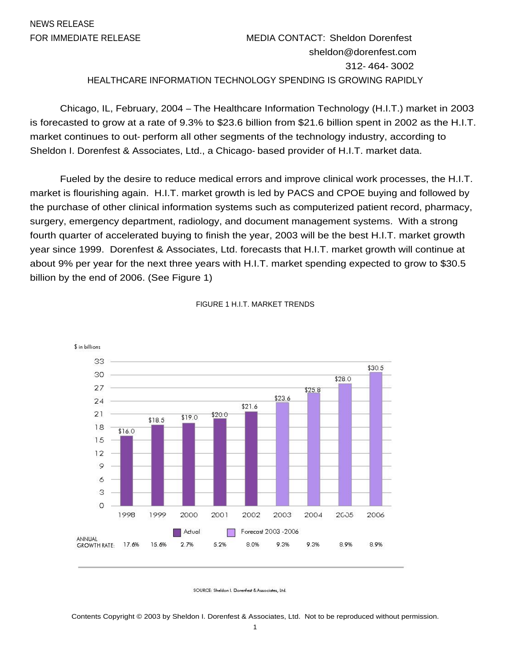## NEWS RELEASE

FOR IMMEDIATE RELEASE MEDIA CONTACT: Sheldon Dorenfest sheldon@dorenfest.com 312- 464- 3002 HEALTHCARE INFORMATION TECHNOLOGY SPENDING IS GROWING RAPIDLY

Chicago, IL, February, 2004 – The Healthcare Information Technology (H.I.T.) market in 2003 is forecasted to grow at a rate of 9.3% to \$23.6 billion from \$21.6 billion spent in 2002 as the H.I.T. market continues to out- perform all other segments of the technology industry, according to Sheldon I. Dorenfest & Associates, Ltd., a Chicago- based provider of H.I.T. market data.

Fueled by the desire to reduce medical errors and improve clinical work processes, the H.I.T. market is flourishing again. H.I.T. market growth is led by PACS and CPOE buying and followed by the purchase of other clinical information systems such as computerized patient record, pharmacy, surgery, emergency department, radiology, and document management systems. With a strong fourth quarter of accelerated buying to finish the year, 2003 will be the best H.I.T. market growth year since 1999. Dorenfest & Associates, Ltd. forecasts that H.I.T. market growth will continue at about 9% per year for the next three years with H.I.T. market spending expected to grow to \$30.5 billion by the end of 2006. (See Figure 1)



## FIGURE 1 H.I.T. MARKET TRENDS

SOURCE: Sheldon I. Dorenfest & Associates, Ltd.

Contents Copyright © 2003 by Sheldon I. Dorenfest & Associates, Ltd. Not to be reproduced without permission.